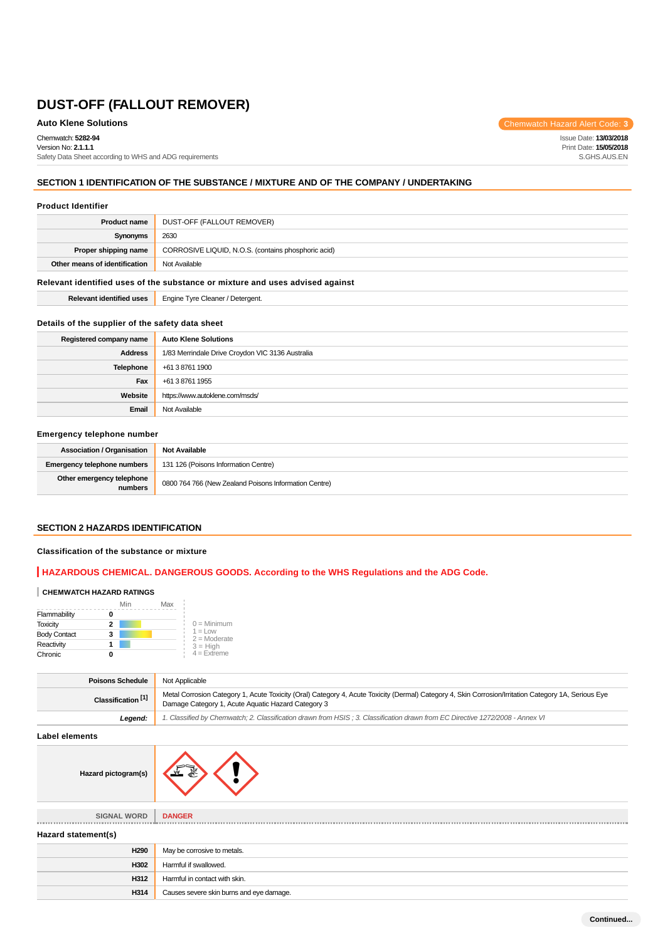Chemwatch: **5282-94**

Version No: **2.1.1.1** Safety Data Sheet according to WHS and ADG requirements

# **SECTION 1 IDENTIFICATION OF THE SUBSTANCE / MIXTURE AND OF THE COMPANY / UNDERTAKING**

### **Product Identifier**

| <b>Product name</b>           | DUST-OFF (FALLOUT REMOVER)                          |
|-------------------------------|-----------------------------------------------------|
| Synonyms                      | 2630                                                |
| Proper shipping name          | CORROSIVE LIQUID, N.O.S. (contains phosphoric acid) |
| Other means of identification | Not Available                                       |

### **Relevant identified uses of the substance or mixture and uses advised against**

**Relevant identified uses** Engine Tyre Cleaner / Detergent.

### **Details of the supplier of the safety data sheet**

| Registered company name | <b>Auto Klene Solutions</b>                      |
|-------------------------|--------------------------------------------------|
| <b>Address</b>          | 1/83 Merrindale Drive Croydon VIC 3136 Australia |
| Telephone               | +61 3 8761 1900                                  |
| Fax                     | +61 3 8761 1955                                  |
| Website                 | https://www.autoklene.com/msds/                  |
| Email                   | Not Available                                    |

### **Emergency telephone number**

| <b>Association / Organisation</b>    | <b>Not Available</b>                                  |
|--------------------------------------|-------------------------------------------------------|
| Emergency telephone numbers          | 131 126 (Poisons Information Centre)                  |
| Other emergency telephone<br>numbers | 0800 764 766 (New Zealand Poisons Information Centre) |

### **SECTION 2 HAZARDS IDENTIFICATION**

### **Classification of the substance or mixture**

# **HAZARDOUS CHEMICAL. DANGEROUS GOODS. According to the WHS Regulations and the ADG Code.**

### **CHEMWATCH HAZARD RATINGS**

|                     | Min | Max |                              |
|---------------------|-----|-----|------------------------------|
| Flammability        |     |     |                              |
| <b>Toxicity</b>     | 2   |     | $0 =$ Minimum                |
| <b>Body Contact</b> | 3   |     | $1 = 1$ OW<br>$2 =$ Moderate |
| Reactivity          |     |     | $3 = High$                   |
| Chronic             |     |     | $4 =$ Extreme                |

| <b>Poisons Schedule</b>       | Not Applicable                                                                                                                                                                                             |
|-------------------------------|------------------------------------------------------------------------------------------------------------------------------------------------------------------------------------------------------------|
| Classification <sup>[1]</sup> | Metal Corrosion Category 1, Acute Toxicity (Oral) Category 4, Acute Toxicity (Dermal) Category 4, Skin Corrosion/Irritation Category 1A, Serious Eye<br>Damage Category 1, Acute Aquatic Hazard Category 3 |
| Leaend:                       | 1. Classified by Chemwatch; 2. Classification drawn from HSIS; 3. Classification drawn from EC Directive 1272/2008 - Annex VI                                                                              |

**Label elements**

| Hazard pictogram(s) |  |
|---------------------|--|
|                     |  |

| <b>SIGNAL WORD</b>  | <b>DANGER</b>                            |
|---------------------|------------------------------------------|
|                     |                                          |
| Hazard statement(s) |                                          |
| H <sub>290</sub>    | May be corrosive to metals.              |
| H302                | Harmful if swallowed.                    |
| H312                | Harmful in contact with skin.            |
| H314                | Causes severe skin burns and eye damage. |

**Auto Klene Solutions** Chemwatch Hazard Alert Code: 3

Issue Date: **13/03/2018** Print Date: **15/05/2018** S.GHS.AUS.EN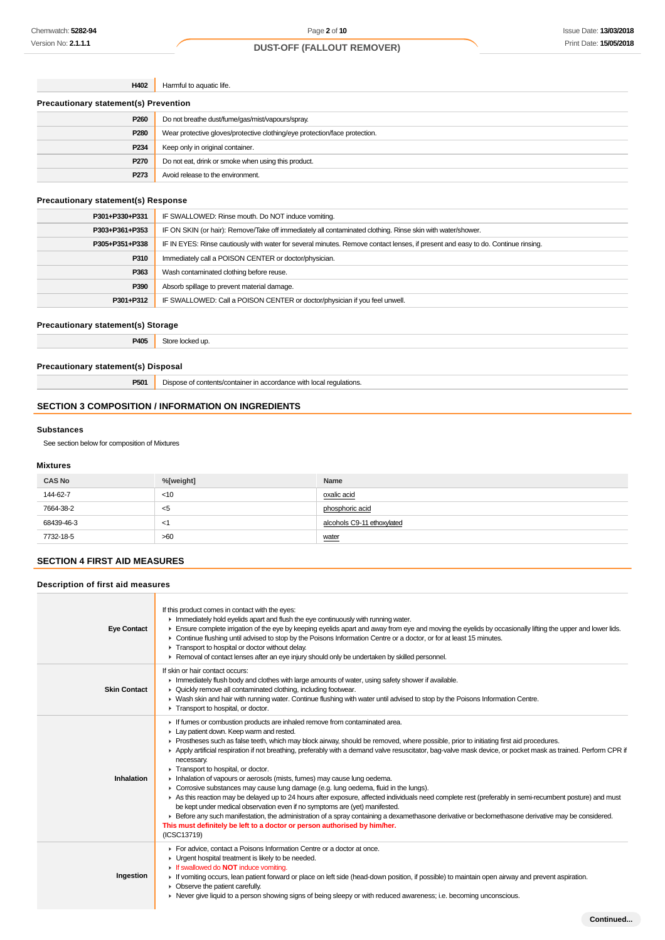| H402                                         | Harmful to aquatic life.                                                   |
|----------------------------------------------|----------------------------------------------------------------------------|
| <b>Precautionary statement(s) Prevention</b> |                                                                            |
| P <sub>260</sub>                             | Do not breathe dust/fume/gas/mist/vapours/spray.                           |
| P280                                         | Wear protective gloves/protective clothing/eye protection/face protection. |
| P234                                         | Keep only in original container.                                           |
| P270                                         | Do not eat, drink or smoke when using this product.                        |
| P273                                         | Avoid release to the environment.                                          |

## **Precautionary statement(s) Response**

| P301+P330+P331 | IF SWALLOWED: Rinse mouth. Do NOT induce vomiting.                                                                               |
|----------------|----------------------------------------------------------------------------------------------------------------------------------|
| P303+P361+P353 | IF ON SKIN (or hair): Remove/Take off immediately all contaminated clothing. Rinse skin with water/shower.                       |
| P305+P351+P338 | IF IN EYES: Rinse cautiously with water for several minutes. Remove contact lenses, if present and easy to do. Continue rinsing. |
| P310           | Immediately call a POISON CENTER or doctor/physician.                                                                            |
| P363           | Wash contaminated clothing before reuse.                                                                                         |
| P390           | Absorb spillage to prevent material damage.                                                                                      |
| P301+P312      | IF SWALLOWED: Call a POISON CENTER or doctor/physician if you feel unwell.                                                       |

### **Precautionary statement(s) Storage**

**P405** Store locked up.

# **Precautionary statement(s) Disposal**

**P501** Dispose of contents/container in accordance with local regulations.

# **SECTION 3 COMPOSITION / INFORMATION ON INGREDIENTS**

### **Substances**

See section below for composition of Mixtures

### **Mixtures**

| <b>CAS No</b> | %[weight] | Name                       |
|---------------|-----------|----------------------------|
| 144-62-7      | < 10      | oxalic acid                |
| 7664-38-2     | <5        | phosphoric acid            |
| 68439-46-3    | <1        | alcohols C9-11 ethoxylated |
| 7732-18-5     | >60       | water                      |

# **SECTION 4 FIRST AID MEASURES**

| Description of first aid measures |                                                                                                                                                                                                                                                                                                                                                                                                                                                                                                                                                                                                                                                                                                                                                                                                                                                                                                                                                                                                                                                                                                                                                      |  |
|-----------------------------------|------------------------------------------------------------------------------------------------------------------------------------------------------------------------------------------------------------------------------------------------------------------------------------------------------------------------------------------------------------------------------------------------------------------------------------------------------------------------------------------------------------------------------------------------------------------------------------------------------------------------------------------------------------------------------------------------------------------------------------------------------------------------------------------------------------------------------------------------------------------------------------------------------------------------------------------------------------------------------------------------------------------------------------------------------------------------------------------------------------------------------------------------------|--|
| <b>Eye Contact</b>                | If this product comes in contact with the eyes:<br>Inmediately hold eyelids apart and flush the eye continuously with running water.<br>Ensure complete irrigation of the eye by keeping eyelids apart and away from eye and moving the eyelids by occasionally lifting the upper and lower lids.<br>▶ Continue flushing until advised to stop by the Poisons Information Centre or a doctor, or for at least 15 minutes.<br>Transport to hospital or doctor without delay.<br>► Removal of contact lenses after an eye injury should only be undertaken by skilled personnel.                                                                                                                                                                                                                                                                                                                                                                                                                                                                                                                                                                       |  |
| <b>Skin Contact</b>               | If skin or hair contact occurs:<br>In Immediately flush body and clothes with large amounts of water, using safety shower if available.<br>▶ Quickly remove all contaminated clothing, including footwear.<br>• Wash skin and hair with running water. Continue flushing with water until advised to stop by the Poisons Information Centre.<br>Transport to hospital, or doctor.                                                                                                                                                                                                                                                                                                                                                                                                                                                                                                                                                                                                                                                                                                                                                                    |  |
| Inhalation                        | If fumes or combustion products are inhaled remove from contaminated area.<br>Lay patient down. Keep warm and rested.<br>▶ Prostheses such as false teeth, which may block airway, should be removed, where possible, prior to initiating first aid procedures.<br>▶ Apply artificial respiration if not breathing, preferably with a demand valve resuscitator, bag-valve mask device, or pocket mask as trained. Perform CPR if<br>necessary.<br>Transport to hospital, or doctor.<br>Inhalation of vapours or aerosols (mists, fumes) may cause lung oedema.<br>► Corrosive substances may cause lung damage (e.g. lung oedema, fluid in the lungs).<br>As this reaction may be delayed up to 24 hours after exposure, affected individuals need complete rest (preferably in semi-recumbent posture) and must<br>be kept under medical observation even if no symptoms are (yet) manifested.<br>Exercise any such manifestation, the administration of a spray containing a dexamethasone derivative or beclomethasone derivative may be considered.<br>This must definitely be left to a doctor or person authorised by him/her.<br>(ICSC13719) |  |
| Ingestion                         | For advice, contact a Poisons Information Centre or a doctor at once.<br>• Urgent hospital treatment is likely to be needed.<br>If swallowed do <b>NOT</b> induce vomiting.<br>If vomiting occurs, lean patient forward or place on left side (head-down position, if possible) to maintain open airway and prevent aspiration.<br>$\triangleright$ Observe the patient carefully.<br>▶ Never give liquid to a person showing signs of being sleepy or with reduced awareness; i.e. becoming unconscious.                                                                                                                                                                                                                                                                                                                                                                                                                                                                                                                                                                                                                                            |  |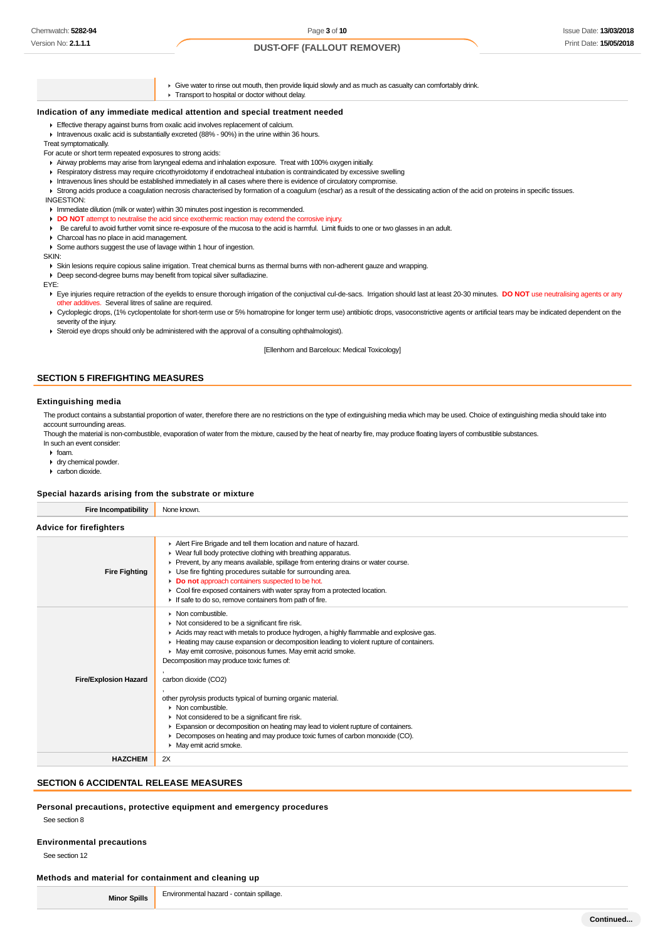Give water to rinse out mouth, then provide liquid slowly and as much as casualty can comfortably drink. **F** Transport to hospital or doctor without delay.

# **Indication of any immediate medical attention and special treatment needed**

- **Effective therapy against burns from oxalic acid involves replacement of calcium.**
- Intravenous oxalic acid is substantially excreted (88% 90%) in the urine within 36 hours.

Treat symptomatically.

For acute or short term repeated exposures to strong acids:

- Airway problems may arise from laryngeal edema and inhalation exposure. Treat with 100% oxygen initially.
- Respiratory distress may require cricothyroidotomy if endotracheal intubation is contraindicated by excessive swelling
- Intravenous lines should be established immediately in all cases where there is evidence of circulatory compromise.
- ▶ Strong acids produce a coagulation necrosis characterised by formation of a coagulum (eschar) as a result of the dessicating action of the acid on proteins in specific tissues.
- INGESTION:
- Immediate dilution (milk or water) within 30 minutes post ingestion is recommended.
- **DO NOT** attempt to neutralise the acid since exothermic reaction may extend the corrosive injury.
- Be careful to avoid further vomit since re-exposure of the mucosa to the acid is harmful. Limit fluids to one or two glasses in an adult.
- Charcoal has no place in acid management.
- Some authors suggest the use of lavage within 1 hour of ingestion.

**CIZINI-**

Skin lesions require copious saline irrigation. Treat chemical burns as thermal burns with non-adherent gauze and wrapping.

Deep second-degree burns may benefit from topical silver sulfadiazine.

EYE:

Eye injuries require retraction of the eyelids to ensure thorough irrigation of the conjuctival cul-de-sacs. Irrigation should last at least 20-30 minutes. DO NOT use neutralising agents or any other additives. Several litres of saline are required.

- ▶ Cycloplegic drops, (1% cyclopentolate for short-term use or 5% homatropine for longer term use) antibiotic drops, vasoconstrictive agents or artificial tears may be indicated dependent on the severity of the injury.
- Steroid eye drops should only be administered with the approval of a consulting ophthalmologist).

[Ellenhorn and Barceloux: Medical Toxicology]

### **SECTION 5 FIREFIGHTING MEASURES**

#### **Extinguishing media**

The product contains a substantial proportion of water, therefore there are no restrictions on the type of extinguishing media which may be used. Choice of extinguishing media should take into account surrounding areas.

Though the material is non-combustible, evaporation of water from the mixture, caused by the heat of nearby fire, may produce floating layers of combustible substances. In such an event consider

- $\cdot$  foam.
- dry chemical powder.
- carbon dioxide.

### **Special hazards arising from the substrate or mixture**

| <b>Fire Incompatibility</b>    | None known.                                                                                                                                                                                                                                                                                                                                                                                                                                                                                                                                                                                                                                                                                                                                                             |
|--------------------------------|-------------------------------------------------------------------------------------------------------------------------------------------------------------------------------------------------------------------------------------------------------------------------------------------------------------------------------------------------------------------------------------------------------------------------------------------------------------------------------------------------------------------------------------------------------------------------------------------------------------------------------------------------------------------------------------------------------------------------------------------------------------------------|
| <b>Advice for firefighters</b> |                                                                                                                                                                                                                                                                                                                                                                                                                                                                                                                                                                                                                                                                                                                                                                         |
| <b>Fire Fighting</b>           | Alert Fire Brigade and tell them location and nature of hazard.<br>• Wear full body protective clothing with breathing apparatus.<br>▶ Prevent, by any means available, spillage from entering drains or water course.<br>• Use fire fighting procedures suitable for surrounding area.<br>Do not approach containers suspected to be hot.<br>• Cool fire exposed containers with water spray from a protected location.<br>If safe to do so, remove containers from path of fire.                                                                                                                                                                                                                                                                                      |
| <b>Fire/Explosion Hazard</b>   | $\blacktriangleright$ Non combustible<br>• Not considered to be a significant fire risk.<br>Acids may react with metals to produce hydrogen, a highly flammable and explosive gas.<br>Heating may cause expansion or decomposition leading to violent rupture of containers.<br>• May emit corrosive, poisonous fumes. May emit acrid smoke.<br>Decomposition may produce toxic fumes of:<br>carbon dioxide (CO2)<br>other pyrolysis products typical of burning organic material.<br>$\triangleright$ Non combustible.<br>• Not considered to be a significant fire risk.<br>Expansion or decomposition on heating may lead to violent rupture of containers.<br>Decomposes on heating and may produce toxic fumes of carbon monoxide (CO).<br>• May emit acrid smoke. |
| <b>HAZCHEM</b>                 | 2X                                                                                                                                                                                                                                                                                                                                                                                                                                                                                                                                                                                                                                                                                                                                                                      |

### **SECTION 6 ACCIDENTAL RELEASE MEASURES**

### **Personal precautions, protective equipment and emergency procedures**

See section 8

### **Environmental precautions**

See section 12

### **Methods and material for containment and cleaning up**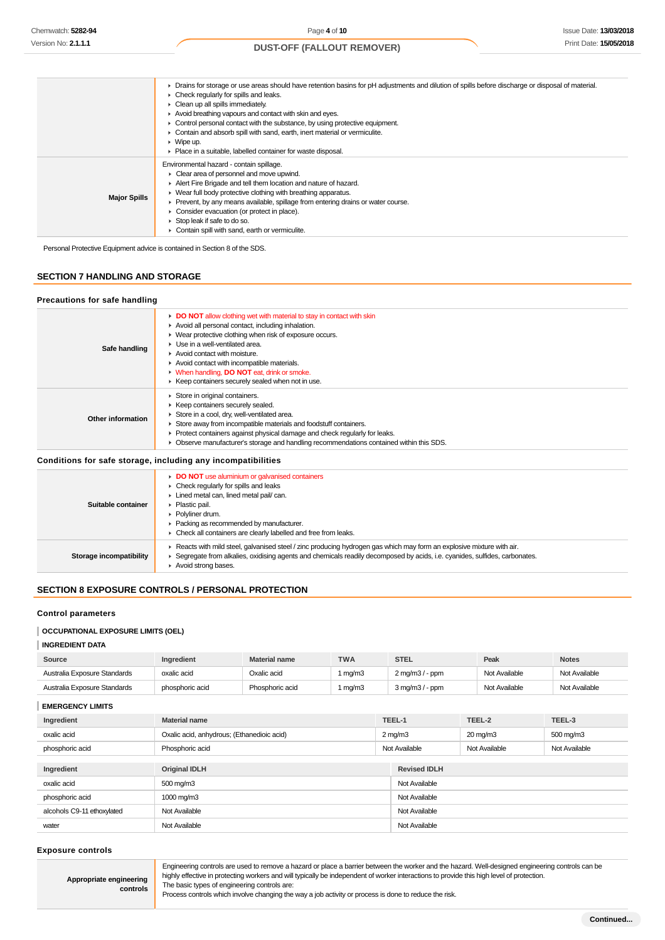|                     | • Drains for storage or use areas should have retention basins for pH adjustments and dilution of spills before discharge or disposal of material.<br>$\triangleright$ Check regularly for spills and leaks.<br>• Clean up all spills immediately.<br>Avoid breathing vapours and contact with skin and eyes.<br>• Control personal contact with the substance, by using protective equipment.<br>Contain and absorb spill with sand, earth, inert material or vermiculite.<br>$\triangleright$ Wipe up.<br>• Place in a suitable, labelled container for waste disposal. |
|---------------------|---------------------------------------------------------------------------------------------------------------------------------------------------------------------------------------------------------------------------------------------------------------------------------------------------------------------------------------------------------------------------------------------------------------------------------------------------------------------------------------------------------------------------------------------------------------------------|
| <b>Major Spills</b> | Environmental hazard - contain spillage.<br>• Clear area of personnel and move upwind.<br>Alert Fire Brigade and tell them location and nature of hazard.<br>$\blacktriangleright$ Wear full body protective clothing with breathing apparatus.<br>▶ Prevent, by any means available, spillage from entering drains or water course.<br>• Consider evacuation (or protect in place).<br>$\triangleright$ Stop leak if safe to do so.<br>Contain spill with sand, earth or vermiculite.                                                                                    |

Personal Protective Equipment advice is contained in Section 8 of the SDS.

# **SECTION 7 HANDLING AND STORAGE**

| Precautions for safe handling |                                                                                                                                                                                                                                                                                                                                                                                                               |
|-------------------------------|---------------------------------------------------------------------------------------------------------------------------------------------------------------------------------------------------------------------------------------------------------------------------------------------------------------------------------------------------------------------------------------------------------------|
| Safe handling                 | DO NOT allow clothing wet with material to stay in contact with skin<br>Avoid all personal contact, including inhalation.<br>▶ Wear protective clothing when risk of exposure occurs.<br>• Use in a well-ventilated area.<br>Avoid contact with moisture.<br>Avoid contact with incompatible materials.<br>• When handling, DO NOT eat, drink or smoke.<br>▶ Keep containers securely sealed when not in use. |
| Other information             | Store in original containers.<br>▶ Keep containers securely sealed.<br>Store in a cool, dry, well-ventilated area.<br>Store away from incompatible materials and foodstuff containers.<br>• Protect containers against physical damage and check regularly for leaks.<br>• Observe manufacturer's storage and handling recommendations contained within this SDS.                                             |
|                               | Conditions for safe storage, including any incompatibilities                                                                                                                                                                                                                                                                                                                                                  |
|                               | DO NOT use aluminium or galvanised containers<br>At the second that the contract of the state                                                                                                                                                                                                                                                                                                                 |

| Suitable container      | $\triangleright$ Check regularly for spills and leaks<br>Lined metal can, lined metal pail/can.<br>• Plastic pail.<br>▶ Polvliner drum.<br>▶ Packing as recommended by manufacturer.<br>• Check all containers are clearly labelled and free from leaks.                     |
|-------------------------|------------------------------------------------------------------------------------------------------------------------------------------------------------------------------------------------------------------------------------------------------------------------------|
| Storage incompatibility | ► Reacts with mild steel, galvanised steel / zinc producing hydrogen gas which may form an explosive mixture with air.<br>► Segregate from alkalies, oxidising agents and chemicals readily decomposed by acids, i.e. cyanides, sulfides, carbonates.<br>Avoid strong bases. |

### **SECTION 8 EXPOSURE CONTROLS / PERSONAL PROTECTION**

### **Control parameters**

# **OCCUPATIONAL EXPOSURE LIMITS (OEL)**

### **INGREDIENT DATA**

| Source                       | Ingredient      | <b>Material name</b> | <b>TWA</b> | <b>STEL</b>                  | Peak          | <b>Notes</b>  |
|------------------------------|-----------------|----------------------|------------|------------------------------|---------------|---------------|
| Australia Exposure Standards | oxalic acid     | Oxalic acid          | mq/m3      | 2 mg/m3 / - ppm              | Not Available | Not Available |
| Australia Exposure Standards | phosphoric acid | Phosphoric acid      | mg/m3      | $3 \text{ mg/m}$ $3$ / - ppm | Not Available | Not Available |

**EMERGENCY LIMITS**

| Ingredient                 | <b>Material name</b>                       |                  | TEEL-1              | TEEL-2              | TEEL-3        |
|----------------------------|--------------------------------------------|------------------|---------------------|---------------------|---------------|
| oxalic acid                | Oxalic acid, anhydrous; (Ethanedioic acid) | $2 \text{ mg/m}$ |                     | $20 \text{ mg/m}$ 3 | 500 mg/m3     |
| phosphoric acid            | Phosphoric acid                            | Not Available    |                     | Not Available       | Not Available |
|                            |                                            |                  |                     |                     |               |
| Ingredient                 | <b>Original IDLH</b>                       |                  | <b>Revised IDLH</b> |                     |               |
| oxalic acid                | 500 mg/m3                                  |                  | Not Available       |                     |               |
| phosphoric acid            | 1000 mg/m3                                 |                  | Not Available       |                     |               |
| alcohols C9-11 ethoxylated | Not Available                              |                  | Not Available       |                     |               |
| water                      | Not Available                              |                  | Not Available       |                     |               |

### **Exposure controls**

**Appropriate engineering**

**controls**

Engineering controls are used to remove a hazard or place a barrier between the worker and the hazard. Well-designed engineering controls can be highly effective in protecting workers and will typically be independent of worker interactions to provide this high level of protection. The basic types of engineering controls are:

Process controls which involve changing the way a job activity or process is done to reduce the risk.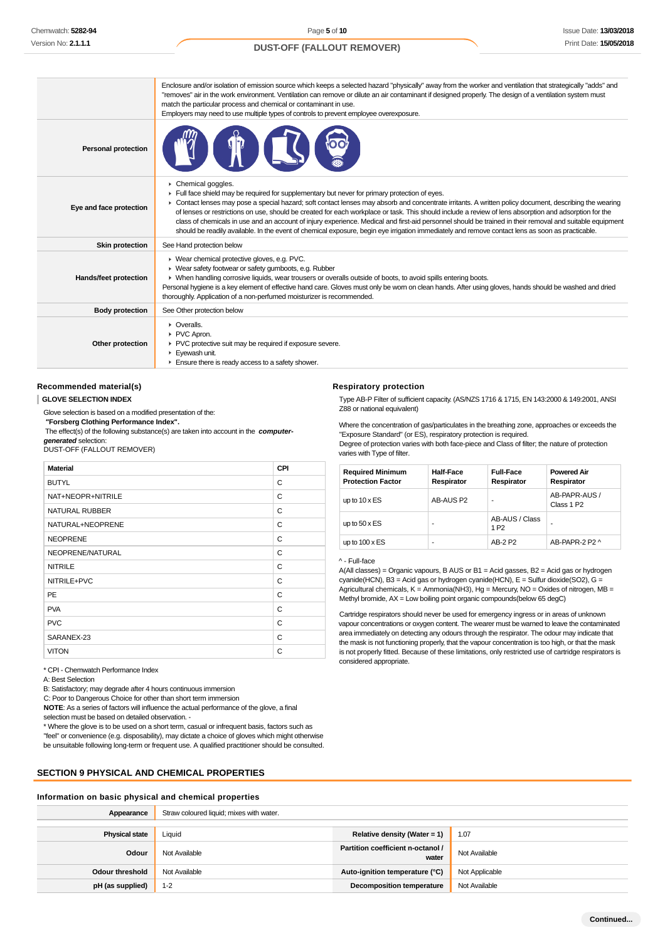### Enclosure and/or isolation of emission source which keeps a selected hazard "physically" away from the worker and ventilation that strategically "adds" and "removes" air in the work environment. Ventilation can remove or dilute an air contaminant if designed properly. The design of a ventilation system must match the particular process and chemical or contaminant in use. Employers may need to use multiple types of controls to prevent employee overexposure. **Personal protection** Chemical goggles. Full face shield may be required for supplementary but never for primary protection of eyes. ¥ Contact lenses may pose a special hazard; soft contact lenses may absorb and concentrate irritants. A written policy document, describing the wearing **Eye and face protection** of lenses or restrictions on use, should be created for each workplace or task. This should include a review of lens absorption and adsorption for the class of chemicals in use and an account of injury experience. Medical and first-aid personnel should be trained in their removal and suitable equipment should be readily available. In the event of chemical exposure, begin eye irrigation immediately and remove contact lens as soon as practicable. **Skin protection** See Hand protection below Wear chemical protective gloves, e.g. PVC. Wear safety footwear or safety gumboots, e.g. Rubber **Hands/feet protection** When handling corrosive liquids, wear trousers or overalls outside of boots, to avoid spills entering boots. Personal hygiene is a key element of effective hand care. Gloves must only be worn on clean hands. After using gloves, hands should be washed and dried thoroughly. Application of a non-perfumed moisturizer is recommended. **Body protection** See Other protection below **C** Overalls PVC Apron. PVC protective suit may be required if exposure severe. **Other protection F** Eyewash unit. **Ensure there is ready access to a safety shower.**

### **Recommended material(s)**

#### **GLOVE SELECTION INDEX**

Glove selection is based on a modified presentation of the:

 **"Forsberg Clothing Performance Index".**

 The effect(s) of the following substance(s) are taken into account in the **computergenerated** selection:

DUST-OFF (FALLOUT REMOVER)

| <b>Material</b>       | <b>CPI</b> |
|-----------------------|------------|
| <b>BUTYL</b>          | C          |
| NAT+NEOPR+NITRILE     | C          |
| <b>NATURAL RUBBER</b> | C          |
| NATURAL+NEOPRENE      | C          |
| <b>NEOPRENE</b>       | C          |
| NEOPRENE/NATURAL      | C          |
| <b>NITRILE</b>        | C          |
| NITRILE+PVC           | C          |
| PE                    | C          |
| <b>PVA</b>            | C          |
| <b>PVC</b>            | C          |
| SARANEX-23            | C          |
| <b>VITON</b>          | C          |

\* CPI - Chemwatch Performance Index

A: Best Selection

B: Satisfactory; may degrade after 4 hours continuous immersion

C: Poor to Dangerous Choice for other than short term immersion

**NOTE**: As a series of factors will influence the actual performance of the glove, a final selection must be based on detailed observation. -

\* Where the glove is to be used on a short term, casual or infrequent basis, factors such as "feel" or convenience (e.g. disposability), may dictate a choice of gloves which might otherwise

be unsuitable following long-term or frequent use. A qualified practitioner should be consulted.

### **SECTION 9 PHYSICAL AND CHEMICAL PROPERTIES**

#### **Information on basic physical and chemical properties**

| Appearance             | Straw coloured liquid; mixes with water. |                                            |                |
|------------------------|------------------------------------------|--------------------------------------------|----------------|
| <b>Physical state</b>  | Liquid                                   | Relative density (Water = 1)               | 1.07           |
| Odour                  | Not Available                            | Partition coefficient n-octanol /<br>water | Not Available  |
| <b>Odour threshold</b> | Not Available                            | Auto-ignition temperature (°C)             | Not Applicable |
| pH (as supplied)       | $1 - 2$                                  | <b>Decomposition temperature</b>           | Not Available  |

# **Respiratory protection**

Type AB-P Filter of sufficient capacity. (AS/NZS 1716 & 1715, EN 143:2000 & 149:2001, ANSI Z88 or national equivalent)

Where the concentration of gas/particulates in the breathing zone, approaches or exceeds the "Exposure Standard" (or ES), respiratory protection is required. Degree of protection varies with both face-piece and Class of filter; the nature of protection varies with Type of filter.

| <b>Required Minimum</b><br><b>Protection Factor</b> | <b>Half-Face</b><br>Respirator | <b>Full-Face</b><br>Respirator     | <b>Powered Air</b><br>Respirator        |
|-----------------------------------------------------|--------------------------------|------------------------------------|-----------------------------------------|
| up to $10 \times ES$                                | AB-AUS P2                      | ۰                                  | AB-PAPR-AUS /<br>Class 1 P <sub>2</sub> |
| up to $50 \times ES$                                | ۰                              | AB-AUS / Class<br>1 P <sub>2</sub> | ۰                                       |
| up to $100 \times ES$                               | ۰                              | AB-2 P2                            | AB-PAPR-2 P2 ^                          |

^ - Full-face

A(All classes) = Organic vapours, B AUS or B1 = Acid gasses, B2 = Acid gas or hydrogen cyanide(HCN), B3 = Acid gas or hydrogen cyanide(HCN), E = Sulfur dioxide(SO2), G = Agricultural chemicals,  $K =$  Ammonia(NH3), Hg = Mercury, NO = Oxides of nitrogen, MB = Methyl bromide, AX = Low boiling point organic compounds(below 65 degC)

Cartridge respirators should never be used for emergency ingress or in areas of unknown vapour concentrations or oxygen content. The wearer must be warned to leave the contaminated area immediately on detecting any odours through the respirator. The odour may indicate that the mask is not functioning properly, that the vapour concentration is too high, or that the mask is not properly fitted. Because of these limitations, only restricted use of cartridge respirators is considered appropriate.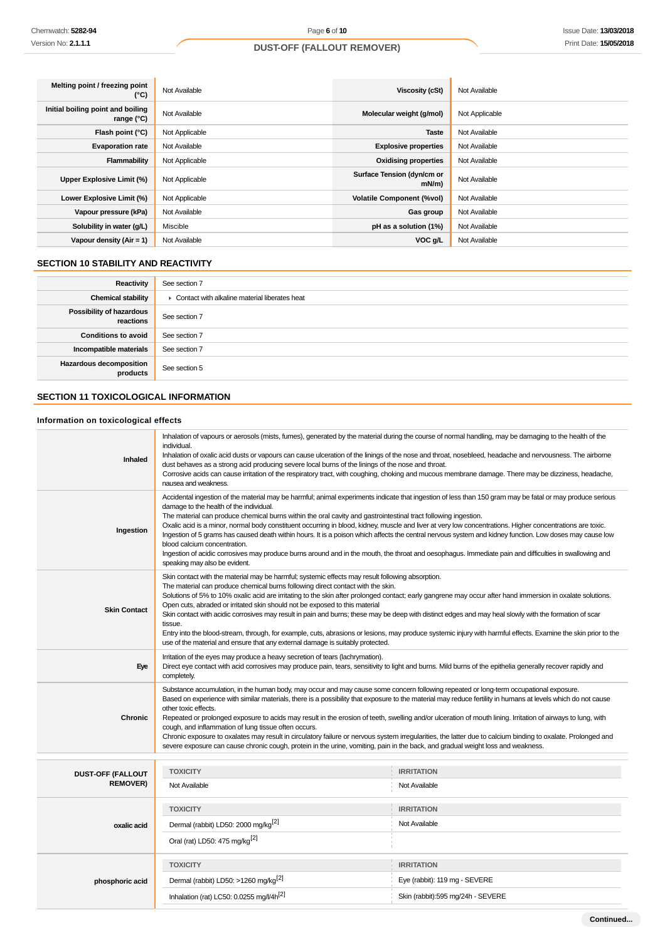| Melting point / freezing point<br>(°C)            | Not Available  | Viscosity (cSt)                        | Not Available  |
|---------------------------------------------------|----------------|----------------------------------------|----------------|
| Initial boiling point and boiling<br>range $(°C)$ | Not Available  | Molecular weight (g/mol)               | Not Applicable |
| Flash point (°C)                                  | Not Applicable | <b>Taste</b>                           | Not Available  |
| <b>Evaporation rate</b>                           | Not Available  | <b>Explosive properties</b>            | Not Available  |
| Flammability                                      | Not Applicable | <b>Oxidising properties</b>            | Not Available  |
| Upper Explosive Limit (%)                         | Not Applicable | Surface Tension (dyn/cm or<br>$mN/m$ ) | Not Available  |
| Lower Explosive Limit (%)                         | Not Applicable | <b>Volatile Component (%vol)</b>       | Not Available  |
| Vapour pressure (kPa)                             | Not Available  | Gas group                              | Not Available  |
| Solubility in water (g/L)                         | Miscible       | pH as a solution (1%)                  | Not Available  |
| Vapour density $(Air = 1)$                        | Not Available  | VOC g/L                                | Not Available  |

### **SECTION 10 STABILITY AND REACTIVITY**

| Reactivity                            | See section 7                                   |
|---------------------------------------|-------------------------------------------------|
| <b>Chemical stability</b>             | • Contact with alkaline material liberates heat |
| Possibility of hazardous<br>reactions | See section 7                                   |
| <b>Conditions to avoid</b>            | See section 7                                   |
| Incompatible materials                | See section 7                                   |
| Hazardous decomposition<br>products   | See section 5                                   |

# **SECTION 11 TOXICOLOGICAL INFORMATION**

# **Information on toxicological effects**

| Inhaled                                     | Inhalation of vapours or aerosols (mists, fumes), generated by the material during the course of normal handling, may be damaging to the health of the<br>individual.<br>Inhalation of oxalic acid dusts or vapours can cause ulceration of the linings of the nose and throat, nosebleed, headache and nervousness. The airborne<br>dust behaves as a strong acid producing severe local burns of the linings of the nose and throat.<br>Corrosive acids can cause irritation of the respiratory tract, with coughing, choking and mucous membrane damage. There may be dizziness, headache,<br>nausea and weakness.                                                                                                                                                                                                                                                      |                                    |  |  |
|---------------------------------------------|----------------------------------------------------------------------------------------------------------------------------------------------------------------------------------------------------------------------------------------------------------------------------------------------------------------------------------------------------------------------------------------------------------------------------------------------------------------------------------------------------------------------------------------------------------------------------------------------------------------------------------------------------------------------------------------------------------------------------------------------------------------------------------------------------------------------------------------------------------------------------|------------------------------------|--|--|
| Ingestion                                   | Accidental ingestion of the material may be harmful; animal experiments indicate that ingestion of less than 150 gram may be fatal or may produce serious<br>damage to the health of the individual.<br>The material can produce chemical burns within the oral cavity and gastrointestinal tract following ingestion.<br>Oxalic acid is a minor, normal body constituent occurring in blood, kidney, muscle and liver at very low concentrations. Higher concentrations are toxic.<br>Ingestion of 5 grams has caused death within hours. It is a poison which affects the central nervous system and kidney function. Low doses may cause low<br>blood calcium concentration.<br>Ingestion of acidic corrosives may produce burns around and in the mouth, the throat and oesophagus. Immediate pain and difficulties in swallowing and<br>speaking may also be evident. |                                    |  |  |
| <b>Skin Contact</b>                         | Skin contact with the material may be harmful; systemic effects may result following absorption.<br>The material can produce chemical burns following direct contact with the skin.<br>Solutions of 5% to 10% oxalic acid are irritating to the skin after prolonged contact; early gangrene may occur after hand immersion in oxalate solutions.<br>Open cuts, abraded or irritated skin should not be exposed to this material<br>Skin contact with acidic corrosives may result in pain and burns; these may be deep with distinct edges and may heal slowly with the formation of scar<br>tissue.<br>Entry into the blood-stream, through, for example, cuts, abrasions or lesions, may produce systemic injury with harmful effects. Examine the skin prior to the<br>use of the material and ensure that any external damage is suitably protected.                  |                                    |  |  |
| Eye                                         | Irritation of the eyes may produce a heavy secretion of tears (lachrymation).<br>Direct eye contact with acid corrosives may produce pain, tears, sensitivity to light and burns. Mild burns of the epithelia generally recover rapidly and<br>completely.                                                                                                                                                                                                                                                                                                                                                                                                                                                                                                                                                                                                                 |                                    |  |  |
| <b>Chronic</b>                              | Substance accumulation, in the human body, may occur and may cause some concern following repeated or long-term occupational exposure.<br>Based on experience with similar materials, there is a possibility that exposure to the material may reduce fertility in humans at levels which do not cause<br>other toxic effects.<br>Repeated or prolonged exposure to acids may result in the erosion of teeth, swelling and/or ulceration of mouth lining. Irritation of airways to lung, with<br>cough, and inflammation of lung tissue often occurs.<br>Chronic exposure to oxalates may result in circulatory failure or nervous system irregularities, the latter due to calcium binding to oxalate. Prolonged and<br>severe exposure can cause chronic cough, protein in the urine, vomiting, pain in the back, and gradual weight loss and weakness.                  |                                    |  |  |
|                                             |                                                                                                                                                                                                                                                                                                                                                                                                                                                                                                                                                                                                                                                                                                                                                                                                                                                                            |                                    |  |  |
| <b>DUST-OFF (FALLOUT</b><br><b>REMOVER)</b> | <b>TOXICITY</b><br>Not Available                                                                                                                                                                                                                                                                                                                                                                                                                                                                                                                                                                                                                                                                                                                                                                                                                                           | <b>IRRITATION</b><br>Not Available |  |  |
|                                             | <b>TOXICITY</b>                                                                                                                                                                                                                                                                                                                                                                                                                                                                                                                                                                                                                                                                                                                                                                                                                                                            | <b>IRRITATION</b>                  |  |  |
| oxalic acid                                 | Dermal (rabbit) LD50: 2000 mg/kg <sup>[2]</sup>                                                                                                                                                                                                                                                                                                                                                                                                                                                                                                                                                                                                                                                                                                                                                                                                                            | Not Available                      |  |  |
|                                             | Oral (rat) LD50: 475 mg/kg <sup>[2]</sup>                                                                                                                                                                                                                                                                                                                                                                                                                                                                                                                                                                                                                                                                                                                                                                                                                                  |                                    |  |  |
|                                             | <b>TOXICITY</b>                                                                                                                                                                                                                                                                                                                                                                                                                                                                                                                                                                                                                                                                                                                                                                                                                                                            | <b>IRRITATION</b>                  |  |  |
| phosphoric acid                             | Dermal (rabbit) LD50: >1260 mg/kg <sup>[2]</sup>                                                                                                                                                                                                                                                                                                                                                                                                                                                                                                                                                                                                                                                                                                                                                                                                                           | Eye (rabbit): 119 mg - SEVERE      |  |  |
|                                             | Inhalation (rat) LC50: 0.0255 mg/l/4h <sup>[2]</sup>                                                                                                                                                                                                                                                                                                                                                                                                                                                                                                                                                                                                                                                                                                                                                                                                                       | Skin (rabbit):595 mg/24h - SEVERE  |  |  |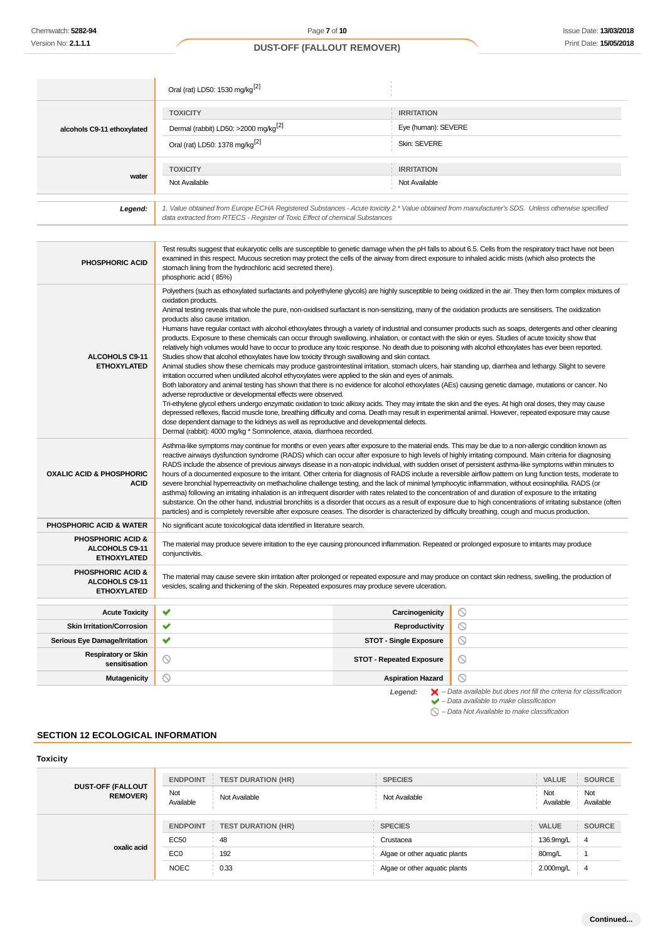|                            | Oral (rat) LD50: 1530 mg/kg <sup>[2]</sup>                                                                                                                                                                                      |                     |  |  |
|----------------------------|---------------------------------------------------------------------------------------------------------------------------------------------------------------------------------------------------------------------------------|---------------------|--|--|
|                            | <b>TOXICITY</b>                                                                                                                                                                                                                 | <b>IRRITATION</b>   |  |  |
| alcohols C9-11 ethoxylated | Dermal (rabbit) LD50: >2000 mg/kg <sup>[2]</sup>                                                                                                                                                                                | Eye (human): SEVERE |  |  |
|                            | Oral (rat) LD50: 1378 mg/kg <sup>[2]</sup>                                                                                                                                                                                      | Skin: SEVERE        |  |  |
| water                      | <b>TOXICITY</b>                                                                                                                                                                                                                 | <b>IRRITATION</b>   |  |  |
|                            | Not Available                                                                                                                                                                                                                   | Not Available       |  |  |
|                            |                                                                                                                                                                                                                                 |                     |  |  |
| Legend:                    | 1. Value obtained from Europe ECHA Registered Substances - Acute toxicity 2.* Value obtained from manufacturer's SDS. Unless otherwise specified<br>data extracted from RTECS - Register of Toxic Effect of chemical Substances |                     |  |  |

| <b>PHOSPHORIC ACID</b>                                               | Test results suggest that eukaryotic cells are susceptible to genetic damage when the pH falls to about 6.5. Cells from the respiratory tract have not been<br>examined in this respect. Mucous secretion may protect the cells of the airway from direct exposure to inhaled acidic mists (which also protects the<br>stomach lining from the hydrochloric acid secreted there).<br>phosphoric acid (85%)                                                                                                                                                                                                                                                                                                                                                                                                                                                                                                                                                                                                                                                                                                                                                                                                                                                                                                                                                                                                                                                                                                                                                                                                                                                                                                                                                                                                                                                                                                                                           |                                 |                                                                                                                                                           |  |
|----------------------------------------------------------------------|------------------------------------------------------------------------------------------------------------------------------------------------------------------------------------------------------------------------------------------------------------------------------------------------------------------------------------------------------------------------------------------------------------------------------------------------------------------------------------------------------------------------------------------------------------------------------------------------------------------------------------------------------------------------------------------------------------------------------------------------------------------------------------------------------------------------------------------------------------------------------------------------------------------------------------------------------------------------------------------------------------------------------------------------------------------------------------------------------------------------------------------------------------------------------------------------------------------------------------------------------------------------------------------------------------------------------------------------------------------------------------------------------------------------------------------------------------------------------------------------------------------------------------------------------------------------------------------------------------------------------------------------------------------------------------------------------------------------------------------------------------------------------------------------------------------------------------------------------------------------------------------------------------------------------------------------------|---------------------------------|-----------------------------------------------------------------------------------------------------------------------------------------------------------|--|
| ALCOHOLS C9-11<br><b>ETHOXYLATED</b>                                 | Polyethers (such as ethoxylated surfactants and polyethylene glycols) are highly susceptible to being oxidized in the air. They then form complex mixtures of<br>oxidation products.<br>Animal testing reveals that whole the pure, non-oxidised surfactant is non-sensitizing, many of the oxidation products are sensitisers. The oxidization<br>products also cause irritation.<br>Humans have regular contact with alcohol ethoxylates through a variety of industrial and consumer products such as soaps, detergents and other cleaning<br>products. Exposure to these chemicals can occur through swallowing, inhalation, or contact with the skin or eyes. Studies of acute toxicity show that<br>relatively high volumes would have to occur to produce any toxic response. No death due to poisoning with alcohol ethoxylates has ever been reported.<br>Studies show that alcohol ethoxylates have low toxicity through swallowing and skin contact.<br>Animal studies show these chemicals may produce gastrointestinal irritation, stomach ulcers, hair standing up, diarrhea and lethargy. Slight to severe<br>irritation occurred when undiluted alcohol ethyoxylates were applied to the skin and eyes of animals.<br>Both laboratory and animal testing has shown that there is no evidence for alcohol ethoxylates (AEs) causing genetic damage, mutations or cancer. No<br>adverse reproductive or developmental effects were observed.<br>Tri-ethylene glycol ethers undergo enzymatic oxidation to toxic alkoxy acids. They may irritate the skin and the eyes. At high oral doses, they may cause<br>depressed reflexes, flaccid muscle tone, breathing difficulty and coma. Death may result in experimental animal. However, repeated exposure may cause<br>dose dependent damage to the kidneys as well as reproductive and developmental defects.<br>Dermal (rabbit): 4000 mg/kg * Somnolence, ataxia, diarrhoea recorded. |                                 |                                                                                                                                                           |  |
| <b>OXALIC ACID &amp; PHOSPHORIC</b><br><b>ACID</b>                   | Asthma-like symptoms may continue for months or even years after exposure to the material ends. This may be due to a non-allergic condition known as<br>reactive airways dysfunction syndrome (RADS) which can occur after exposure to high levels of highly irritating compound. Main criteria for diagnosing<br>RADS include the absence of previous airways disease in a non-atopic individual, with sudden onset of persistent asthma-like symptoms within minutes to<br>hours of a documented exposure to the irritant. Other criteria for diagnosis of RADS include a reversible airflow pattern on lung function tests, moderate to<br>severe bronchial hyperreactivity on methacholine challenge testing, and the lack of minimal lymphocytic inflammation, without eosinophilia. RADS (or<br>asthma) following an irritating inhalation is an infrequent disorder with rates related to the concentration of and duration of exposure to the irritating<br>substance. On the other hand, industrial bronchitis is a disorder that occurs as a result of exposure due to high concentrations of irritating substance (often<br>particles) and is completely reversible after exposure ceases. The disorder is characterized by difficulty breathing, cough and mucus production.                                                                                                                                                                                                                                                                                                                                                                                                                                                                                                                                                                                                                                                             |                                 |                                                                                                                                                           |  |
| <b>PHOSPHORIC ACID &amp; WATER</b>                                   | No significant acute toxicological data identified in literature search.                                                                                                                                                                                                                                                                                                                                                                                                                                                                                                                                                                                                                                                                                                                                                                                                                                                                                                                                                                                                                                                                                                                                                                                                                                                                                                                                                                                                                                                                                                                                                                                                                                                                                                                                                                                                                                                                             |                                 |                                                                                                                                                           |  |
| <b>PHOSPHORIC ACID &amp;</b><br>ALCOHOLS C9-11<br><b>ETHOXYLATED</b> | The material may produce severe irritation to the eye causing pronounced inflammation. Repeated or prolonged exposure to irritants may produce<br>conjunctivitis.                                                                                                                                                                                                                                                                                                                                                                                                                                                                                                                                                                                                                                                                                                                                                                                                                                                                                                                                                                                                                                                                                                                                                                                                                                                                                                                                                                                                                                                                                                                                                                                                                                                                                                                                                                                    |                                 |                                                                                                                                                           |  |
| <b>PHOSPHORIC ACID &amp;</b><br>ALCOHOLS C9-11<br><b>ETHOXYLATED</b> | The material may cause severe skin irritation after prolonged or repeated exposure and may produce on contact skin redness, swelling, the production of<br>vesicles, scaling and thickening of the skin. Repeated exposures may produce severe ulceration.                                                                                                                                                                                                                                                                                                                                                                                                                                                                                                                                                                                                                                                                                                                                                                                                                                                                                                                                                                                                                                                                                                                                                                                                                                                                                                                                                                                                                                                                                                                                                                                                                                                                                           |                                 |                                                                                                                                                           |  |
| <b>Acute Toxicity</b>                                                | ✔                                                                                                                                                                                                                                                                                                                                                                                                                                                                                                                                                                                                                                                                                                                                                                                                                                                                                                                                                                                                                                                                                                                                                                                                                                                                                                                                                                                                                                                                                                                                                                                                                                                                                                                                                                                                                                                                                                                                                    | Carcinogenicity                 | ∾                                                                                                                                                         |  |
| <b>Skin Irritation/Corrosion</b>                                     | ✔                                                                                                                                                                                                                                                                                                                                                                                                                                                                                                                                                                                                                                                                                                                                                                                                                                                                                                                                                                                                                                                                                                                                                                                                                                                                                                                                                                                                                                                                                                                                                                                                                                                                                                                                                                                                                                                                                                                                                    | Reproductivity                  | $\circledcirc$                                                                                                                                            |  |
| Serious Eye Damage/Irritation                                        | ✔                                                                                                                                                                                                                                                                                                                                                                                                                                                                                                                                                                                                                                                                                                                                                                                                                                                                                                                                                                                                                                                                                                                                                                                                                                                                                                                                                                                                                                                                                                                                                                                                                                                                                                                                                                                                                                                                                                                                                    | <b>STOT - Single Exposure</b>   | $\circledcirc$                                                                                                                                            |  |
| <b>Respiratory or Skin</b><br>sensitisation                          | ◎                                                                                                                                                                                                                                                                                                                                                                                                                                                                                                                                                                                                                                                                                                                                                                                                                                                                                                                                                                                                                                                                                                                                                                                                                                                                                                                                                                                                                                                                                                                                                                                                                                                                                                                                                                                                                                                                                                                                                    | <b>STOT - Repeated Exposure</b> | $\circledcirc$                                                                                                                                            |  |
| <b>Mutagenicity</b>                                                  | ◎                                                                                                                                                                                                                                                                                                                                                                                                                                                                                                                                                                                                                                                                                                                                                                                                                                                                                                                                                                                                                                                                                                                                                                                                                                                                                                                                                                                                                                                                                                                                                                                                                                                                                                                                                                                                                                                                                                                                                    | <b>Aspiration Hazard</b>        | $\circ$                                                                                                                                                   |  |
|                                                                      |                                                                                                                                                                                                                                                                                                                                                                                                                                                                                                                                                                                                                                                                                                                                                                                                                                                                                                                                                                                                                                                                                                                                                                                                                                                                                                                                                                                                                                                                                                                                                                                                                                                                                                                                                                                                                                                                                                                                                      | Legend:                         | $\blacktriangleright$ - Data available but does not fill the criteria for classification<br>$\blacktriangleright$ - Data available to make classification |  |

 $\bigcirc$  – Data Not Available to make classification

# **SECTION 12 ECOLOGICAL INFORMATION**

| <b>Toxicity</b>                             |                  |                           |                               |                  |                  |
|---------------------------------------------|------------------|---------------------------|-------------------------------|------------------|------------------|
| <b>DUST-OFF (FALLOUT</b><br><b>REMOVER)</b> | <b>ENDPOINT</b>  | <b>TEST DURATION (HR)</b> | <b>SPECIES</b>                | <b>VALUE</b>     | <b>SOURCE</b>    |
|                                             | Not<br>Available | Not Available             | Not Available                 | Not<br>Available | Not<br>Available |
| oxalic acid                                 | <b>ENDPOINT</b>  | <b>TEST DURATION (HR)</b> | <b>SPECIES</b>                | VALUE            | <b>SOURCE</b>    |
|                                             | <b>EC50</b>      | 48                        | Crustacea                     | 136.9mg/L        | $\overline{4}$   |
|                                             | EC <sub>0</sub>  | 192                       | Algae or other aquatic plants | 80mg/L           |                  |
|                                             | <b>NOEC</b>      | 0.33                      | Algae or other aquatic plants | 2.000mg/L        | -4               |
|                                             |                  |                           |                               |                  |                  |

÷,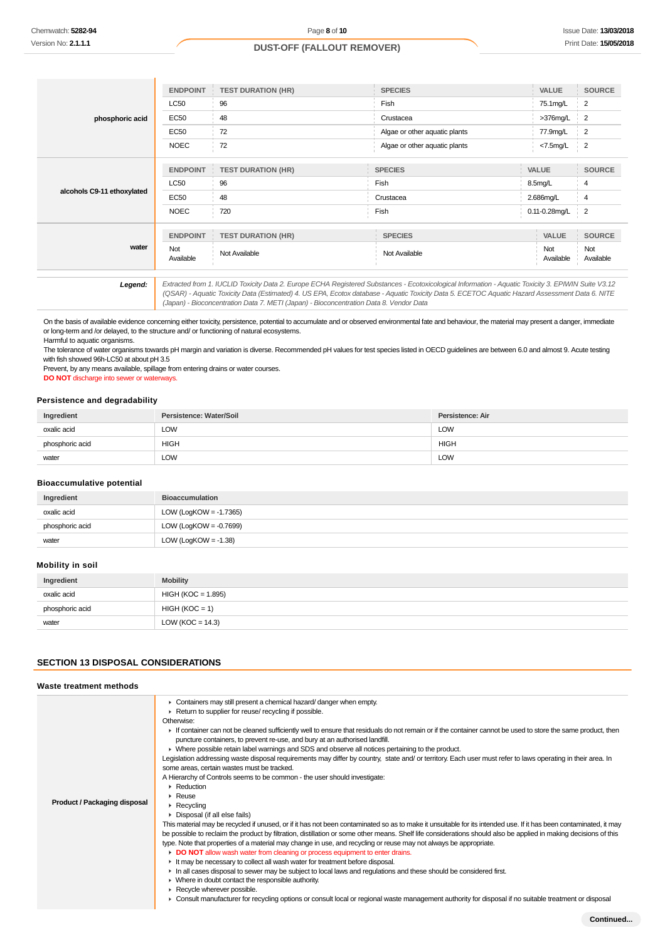|                            | <b>ENDPOINT</b>  | <b>TEST DURATION (HR)</b>                                                              | <b>SPECIES</b>                                                                                                                                                                                                                                                                                        | <b>VALUE</b>        | <b>SOURCE</b>    |
|----------------------------|------------------|----------------------------------------------------------------------------------------|-------------------------------------------------------------------------------------------------------------------------------------------------------------------------------------------------------------------------------------------------------------------------------------------------------|---------------------|------------------|
|                            | <b>LC50</b>      | 96                                                                                     | Fish                                                                                                                                                                                                                                                                                                  | 75.1mg/L            | $\overline{2}$   |
| phosphoric acid            | <b>EC50</b>      | 48                                                                                     | Crustacea                                                                                                                                                                                                                                                                                             | $>376$ mg/L         | $\overline{2}$   |
|                            | EC50             | 72                                                                                     | Algae or other aquatic plants                                                                                                                                                                                                                                                                         | 77.9mg/L            | $\overline{2}$   |
|                            | <b>NOEC</b>      | 72                                                                                     | Algae or other aquatic plants                                                                                                                                                                                                                                                                         | $<7.5$ mg/L         | $\overline{2}$   |
|                            |                  |                                                                                        |                                                                                                                                                                                                                                                                                                       | VALUE               |                  |
|                            | <b>ENDPOINT</b>  | <b>TEST DURATION (HR)</b>                                                              | <b>SPECIES</b>                                                                                                                                                                                                                                                                                        |                     | <b>SOURCE</b>    |
| alcohols C9-11 ethoxylated | <b>LC50</b>      | 96                                                                                     | Fish                                                                                                                                                                                                                                                                                                  | 8.5 <sub>mq/L</sub> | 4                |
|                            | <b>EC50</b>      | 48                                                                                     | Crustacea                                                                                                                                                                                                                                                                                             | 2.686mg/L           | $\overline{4}$   |
|                            | <b>NOEC</b>      | 720                                                                                    | Fish                                                                                                                                                                                                                                                                                                  | 0.11-0.28mg/L       | $\overline{2}$   |
|                            | <b>ENDPOINT</b>  | <b>TEST DURATION (HR)</b>                                                              | <b>SPECIES</b>                                                                                                                                                                                                                                                                                        | VALUE               | <b>SOURCE</b>    |
|                            |                  |                                                                                        |                                                                                                                                                                                                                                                                                                       |                     |                  |
| water                      | Not<br>Available | Not Available                                                                          | Not Available                                                                                                                                                                                                                                                                                         | Not<br>Available    | Not<br>Available |
|                            |                  |                                                                                        |                                                                                                                                                                                                                                                                                                       |                     |                  |
| Legend:                    |                  |                                                                                        | Extracted from 1. IUCLID Toxicity Data 2. Europe ECHA Registered Substances - Ecotoxicological Information - Aquatic Toxicity 3. EPIWIN Suite V3.12<br>(QSAR) - Aquatic Toxicity Data (Estimated) 4. US EPA, Ecotox database - Aquatic Toxicity Data 5. ECETOC Aquatic Hazard Assessment Data 6. NITE |                     |                  |
|                            |                  | (Japan) - Bioconcentration Data 7. METI (Japan) - Bioconcentration Data 8. Vendor Data |                                                                                                                                                                                                                                                                                                       |                     |                  |

On the basis of available evidence concerning either toxicity, persistence, potential to accumulate and or observed environmental fate and behaviour, the material may present a danger, immediate or long-term and /or delayed, to the structure and/ or functioning of natural ecosystems. Harmful to aquatic organisms.

The tolerance of water organisms towards pH margin and variation is diverse. Recommended pH values for test species listed in OECD guidelines are between 6.0 and almost 9. Acute testing with fish showed 96h-LC50 at about pH 3.5

Prevent, by any means available, spillage from entering drains or water courses. **DO NOT** discharge into sewer or waterways.

### **Persistence and degradability**

| Ingredient      | Persistence: Water/Soil | Persistence: Air |
|-----------------|-------------------------|------------------|
| oxalic acid     | LOW                     | LOW              |
| phosphoric acid | <b>HIGH</b>             | <b>HIGH</b>      |
| water           | <b>LOW</b>              | LOW              |

### **Bioaccumulative potential**

| Ingredient      | <b>Bioaccumulation</b>    |
|-----------------|---------------------------|
| oxalic acid     | LOW (LogKOW = -1.7365)    |
| phosphoric acid | LOW (LogKOW = $-0.7699$ ) |
| water           | LOW (LogKOW = $-1.38$ )   |

# **Mobility in soil**

| Ingredient      | <b>Mobility</b>      |
|-----------------|----------------------|
| oxalic acid     | HIGH (KOC = 1.895)   |
| phosphoric acid | $HIGH (KOC = 1)$     |
| water           | LOW ( $KOC = 14.3$ ) |

### **SECTION 13 DISPOSAL CONSIDERATIONS**

### **Waste treatment methods**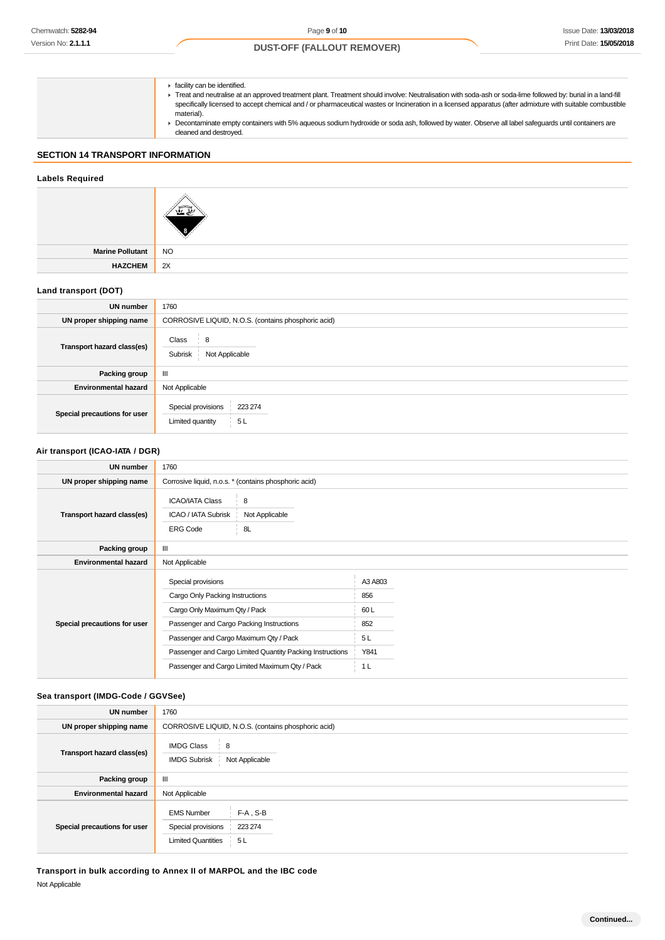**F** facility can be identified. Treat and neutralise at an approved treatment plant. Treatment should involve: Neutralisation with soda-ash or soda-lime followed by: burial in a land-fill specifically licensed to accept chemical and / or pharmaceutical wastes or Incineration in a licensed apparatus (after admixture with suitable combustible material). Decontaminate empty containers with 5% aqueous sodium hydroxide or soda ash, followed by water. Observe all label safeguards until containers are cleaned and destroyed.

# **SECTION 14 TRANSPORT INFORMATION**

### **Labels Required**

| <b>Marine Pollutant</b> | N <sub>O</sub> |
|-------------------------|----------------|
| <b>HAZCHEM</b>          | 2X             |

### **Land transport (DOT)**

| UN number                    | 1760                                                    |
|------------------------------|---------------------------------------------------------|
| UN proper shipping name      | CORROSIVE LIQUID, N.O.S. (contains phosphoric acid)     |
| Transport hazard class(es)   | Class<br>8<br>Not Applicable<br>Subrisk                 |
| Packing group                | Ш                                                       |
| <b>Environmental hazard</b>  | Not Applicable                                          |
| Special precautions for user | Special provisions<br>223 274<br>Limited quantity<br>5L |

### **Air transport (ICAO-IATA / DGR)**

| <b>UN number</b>             | 1760                                                                                                                               |                                                       |                              |  |
|------------------------------|------------------------------------------------------------------------------------------------------------------------------------|-------------------------------------------------------|------------------------------|--|
| UN proper shipping name      |                                                                                                                                    | Corrosive liquid, n.o.s. * (contains phosphoric acid) |                              |  |
| Transport hazard class(es)   | <b>ICAO/IATA Class</b><br>ICAO / IATA Subrisk<br><b>ERG Code</b>                                                                   | 8<br>Not Applicable<br>8L                             |                              |  |
| Packing group                | Ш                                                                                                                                  |                                                       |                              |  |
| <b>Environmental hazard</b>  | Not Applicable                                                                                                                     |                                                       |                              |  |
| Special precautions for user | Special provisions<br>Cargo Only Packing Instructions<br>Cargo Only Maximum Qty / Pack<br>Passenger and Cargo Packing Instructions |                                                       | A3 A803<br>856<br>60L<br>852 |  |
|                              | Passenger and Cargo Maximum Qty / Pack                                                                                             |                                                       | 5L                           |  |
|                              | Passenger and Cargo Limited Quantity Packing Instructions                                                                          |                                                       | Y841                         |  |
|                              | Passenger and Cargo Limited Maximum Qty / Pack                                                                                     |                                                       | 1 <sub>L</sub>               |  |

### **Sea transport (IMDG-Code / GGVSee)**

| <b>UN number</b>             | 1760                                                                                                  |
|------------------------------|-------------------------------------------------------------------------------------------------------|
| UN proper shipping name      | CORROSIVE LIQUID, N.O.S. (contains phosphoric acid)                                                   |
| Transport hazard class(es)   | <b>IMDG Class</b><br>8<br>Not Applicable<br><b>IMDG Subrisk</b>                                       |
| Packing group                | Ш                                                                                                     |
| <b>Environmental hazard</b>  | Not Applicable                                                                                        |
| Special precautions for user | <b>EMS Number</b><br>$F-A$ , S-B<br>Special provisions<br>223 274<br><b>Limited Quantities</b><br>5 L |

**Transport in bulk according to Annex II of MARPOL and the IBC code** Not Applicable